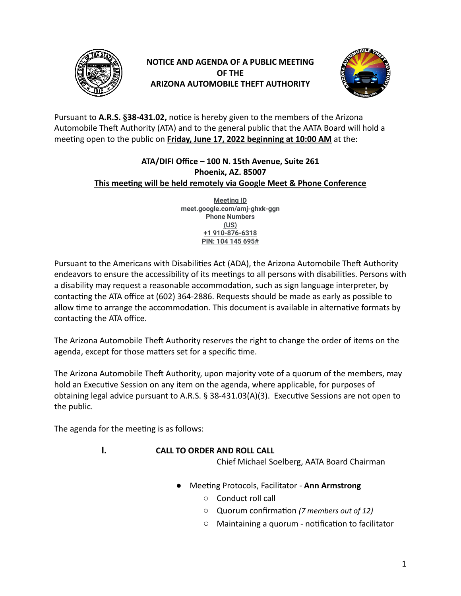

# **NOTICE AND AGENDA OF A PUBLIC MEETING OF THE ARIZONA AUTOMOBILE THEFT AUTHORITY**



Pursuant to A.R.S. §38-431.02, notice is hereby given to the members of the Arizona Automobile Theft Authority (ATA) and to the general public that the AATA Board will hold a meeting open to the public on **Friday, June 17, 2022 beginning at 10:00 AM** at the:

# **ATA/DIFI Office – 100 N. 15th Avenue, Suite 261 Phoenix, AZ. 85007 This meeting will be held remotely via Google Meet & Phone Conference**

**Meeting ID meet.google.com/amj-ghxk-ggn Phone Numbers (US) +1 910-876-6318 PIN: 104 145 695#**

Pursuant to the Americans with Disabilities Act (ADA), the Arizona Automobile Theft Authority endeavors to ensure the accessibility of its meetings to all persons with disabilities. Persons with a disability may request a reasonable accommodation, such as sign language interpreter, by contacting the ATA office at (602) 364-2886. Requests should be made as early as possible to allow time to arrange the accommodation. This document is available in alternative formats by contacting the ATA office.

The Arizona Automobile Theft Authority reserves the right to change the order of items on the agenda, except for those matters set for a specific time.

The Arizona Automobile Theft Authority, upon majority vote of a quorum of the members, may hold an Executive Session on any item on the agenda, where applicable, for purposes of obtaining legal advice pursuant to A.R.S.  $\S$  38-431.03(A)(3). Executive Sessions are not open to the public.

The agenda for the meeting is as follows:

# **I. CALL TO ORDER AND ROLL CALL**

Chief Michael Soelberg, AATA Board Chairman

- Meeting Protocols, Facilitator **Ann Armstrong** 
	- Conduct roll call
	- $\circ$  Quorum confirmation (7 *members out of 12*)
	- $\circ$  Maintaining a quorum notification to facilitator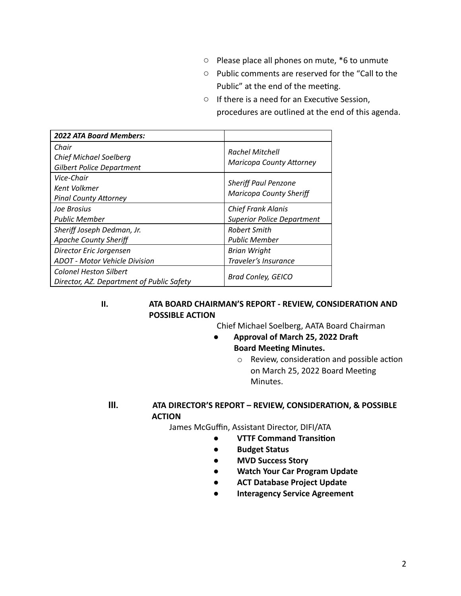- Please place all phones on mute, \*6 to unmute
- Public comments are reserved for the "Call to the Public" at the end of the meeting.
- If there is a need for an Executive Session, procedures are outlined at the end of this agenda.

| <b>2022 ATA Board Members:</b>                                             |                                                                |
|----------------------------------------------------------------------------|----------------------------------------------------------------|
| Chair<br><b>Chief Michael Soelberg</b><br><b>Gilbert Police Department</b> | <b>Rachel Mitchell</b><br><b>Maricopa County Attorney</b>      |
| Vice-Chair<br>Kent Volkmer<br><b>Pinal County Attorney</b>                 | <b>Sheriff Paul Penzone</b><br><b>Maricopa County Sheriff</b>  |
| Joe Brosius<br><b>Public Member</b>                                        | <b>Chief Frank Alanis</b><br><b>Superior Police Department</b> |
| Sheriff Joseph Dedman, Jr.<br><b>Apache County Sheriff</b>                 | <b>Robert Smith</b><br><b>Public Member</b>                    |
| Director Eric Jorgensen<br><b>ADOT</b> - Motor Vehicle Division            | <b>Brian Wright</b><br>Traveler's Insurance                    |
| <b>Colonel Heston Silbert</b><br>Director, AZ. Department of Public Safety | <b>Brad Conley, GEICO</b>                                      |

#### **II. ATA BOARD CHAIRMAN'S REPORT - REVIEW, CONSIDERATION AND POSSIBLE ACTION**

Chief Michael Soelberg, AATA Board Chairman

- **Approval of March 25, 2022 Dra Board Meeting Minutes.** 
	- $\circ$  Review, consideration and possible action on March 25, 2022 Board Meeting Minutes.

### **III. ATA DIRECTOR'S REPORT – REVIEW, CONSIDERATION, & POSSIBLE ACTION**

James McGuffin, Assistant Director, DIFI/ATA

- **VTTF Command Transion**
- **Budget Status**
- **MVD Success Story**
- **Watch Your Car Program Update**
- **ACT Database Project Update**
- **● Interagency Service Agreement**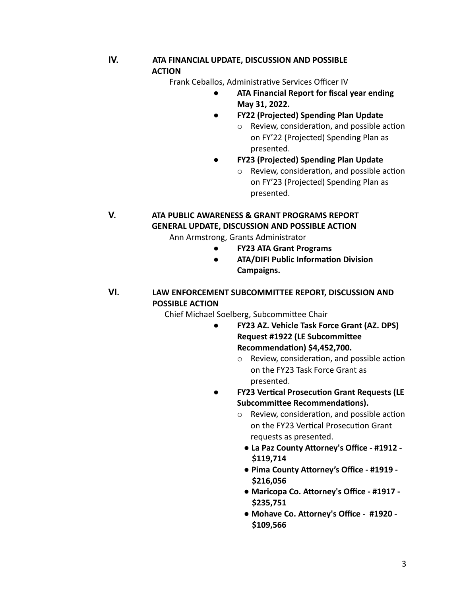# **IV. ATA FINANCIAL UPDATE, DISCUSSION AND POSSIBLE ACTION**

Frank Ceballos, Administrative Services Officer IV

- **ATA Financial Report for fiscal year ending May 31, 2022.**
- **FY22 (Projected) Spending Plan Update**
	- $\circ$  Review, consideration, and possible action on FY'22 (Projected) Spending Plan as presented.
	- **FY23 (Projected) Spending Plan Update**
		- $\circ$  Review, consideration, and possible action on FY'23 (Projected) Spending Plan as presented.

**V. ATA PUBLIC AWARENESS & GRANT PROGRAMS REPORT GENERAL UPDATE, DISCUSSION AND POSSIBLE ACTION**

Ann Armstrong, Grants Administrator

- **● FY23 ATA Grant Programs**
- **ATA/DIFI Public Information Division Campaigns.**

## **VI. LAW ENFORCEMENT SUBCOMMITTEE REPORT, DISCUSSION AND POSSIBLE ACTION**

Chief Michael Soelberg, Subcommittee Chair

- **● FY23 AZ. Vehicle Task Force Grant (AZ. DPS) Request #1922 (LE Subcommittee Recommendation) \$4,452,700.** 
	- $\circ$  Review, consideration, and possible action on the FY23 Task Force Grant as presented.
- **FY23 Vertical Prosecution Grant Requests (LE Subcommittee Recommendations).** 
	- $\circ$  Review, consideration, and possible action on the FY23 Vertical Prosecution Grant requests as presented.
		- **La Paz County Attorney's Office #1912 -\$119,714**
		- **Pima County Attorney's Office #1919 -\$216,056**
		- **Maricopa Co. Attorney's Office #1917 -\$235,751**
		- **Mohave Co. Attorney's Office #1920 -\$109,566**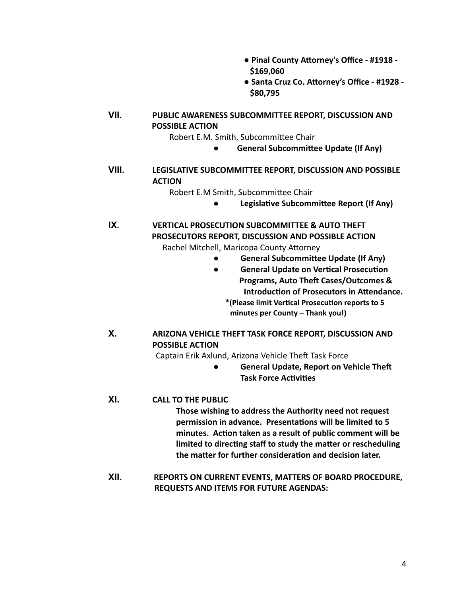- **Pinal County Attorney's Office #1918 -\$169,060**
- **Santa Cruz Co. Attorney's Office #1928 -\$80,795**

**VII. PUBLIC AWARENESS SUBCOMMITTEE REPORT, DISCUSSION AND POSSIBLE ACTION**

Robert E.M. Smith, Subcommittee Chair

**•** General Subcommittee Update (If Any)

## **VIII. LEGISLATIVE SUBCOMMITTEE REPORT, DISCUSSION AND POSSIBLE ACTION**

Robert E.M Smith, Subcommittee Chair

**•** Legislative Subcommittee Report (If Any)

**IX. VERTICAL PROSECUTION SUBCOMMITTEE & AUTO THEFT PROSECUTORS REPORT, DISCUSSION AND POSSIBLE ACTION**

Rachel Mitchell, Maricopa County Attorney

- **General Subcommittee Update (If Any)**
- **•** General Update on Vertical Prosecution **Programs, Auto Theft Cases/Outcomes & Introduction of Prosecutors in Attendance.** 
	- **\*(Please limit Vercal Prosecuon reports to 5 minutes per County – Thank you!)**
- **X. ARIZONA VEHICLE THEFT TASK FORCE REPORT, DISCUSSION AND POSSIBLE ACTION**

Captain Erik Axlund, Arizona Vehicle Theft Task Force

● **General Update, Report on Vehicle The Task Force Activities** 

#### **XI. CALL TO THE PUBLIC**

**Those wishing to address the Authority need not request** permission in advance. Presentations will be limited to 5 minutes. Action taken as a result of public comment will be limited to directing staff to study the matter or rescheduling the matter for further consideration and decision later.

**XII. REPORTS ON CURRENT EVENTS, MATTERS OF BOARD PROCEDURE, REQUESTS AND ITEMS FOR FUTURE AGENDAS:**